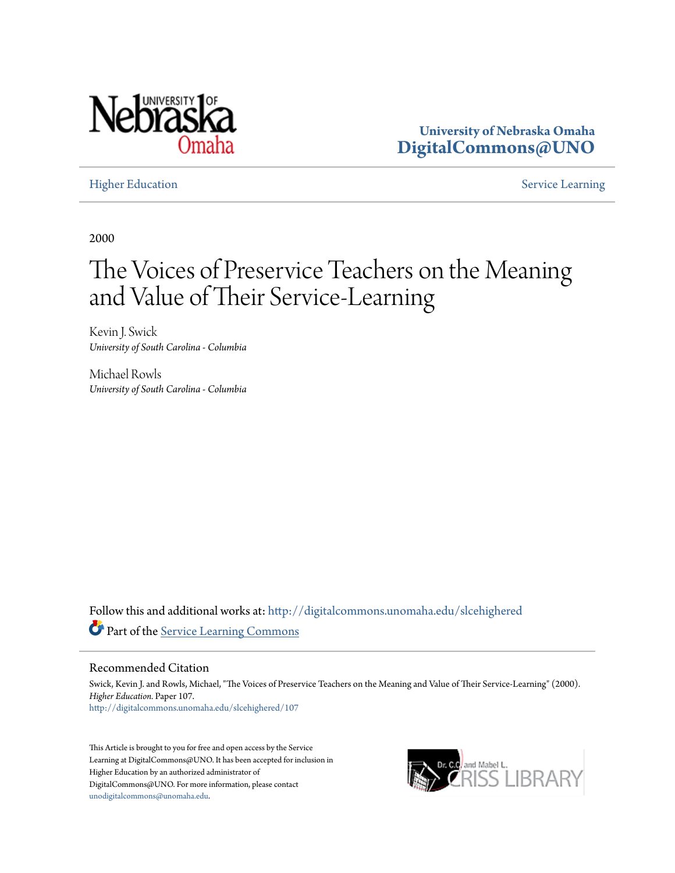

**University of Nebraska Omaha [DigitalCommons@UNO](http://digitalcommons.unomaha.edu?utm_source=digitalcommons.unomaha.edu%2Fslcehighered%2F107&utm_medium=PDF&utm_campaign=PDFCoverPages)**

[Higher Education](http://digitalcommons.unomaha.edu/slcehighered?utm_source=digitalcommons.unomaha.edu%2Fslcehighered%2F107&utm_medium=PDF&utm_campaign=PDFCoverPages) [Service Learning](http://digitalcommons.unomaha.edu/slceservicelearning?utm_source=digitalcommons.unomaha.edu%2Fslcehighered%2F107&utm_medium=PDF&utm_campaign=PDFCoverPages)

2000

# The Voices of Preservice Teachers on the Meaning and Value of Their Service-Learning

Kevin J. Swick *University of South Carolina - Columbia*

Michael Rowls *University of South Carolina - Columbia*

Follow this and additional works at: [http://digitalcommons.unomaha.edu/slcehighered](http://digitalcommons.unomaha.edu/slcehighered?utm_source=digitalcommons.unomaha.edu%2Fslcehighered%2F107&utm_medium=PDF&utm_campaign=PDFCoverPages) Part of the [Service Learning Commons](http://network.bepress.com/hgg/discipline/1024?utm_source=digitalcommons.unomaha.edu%2Fslcehighered%2F107&utm_medium=PDF&utm_campaign=PDFCoverPages)

#### Recommended Citation

Swick, Kevin J. and Rowls, Michael, "The Voices of Preservice Teachers on the Meaning and Value of Their Service-Learning" (2000). *Higher Education.* Paper 107. [http://digitalcommons.unomaha.edu/slcehighered/107](http://digitalcommons.unomaha.edu/slcehighered/107?utm_source=digitalcommons.unomaha.edu%2Fslcehighered%2F107&utm_medium=PDF&utm_campaign=PDFCoverPages)

This Article is brought to you for free and open access by the Service Learning at DigitalCommons@UNO. It has been accepted for inclusion in Higher Education by an authorized administrator of DigitalCommons@UNO. For more information, please contact [unodigitalcommons@unomaha.edu](mailto:unodigitalcommons@unomaha.edu).

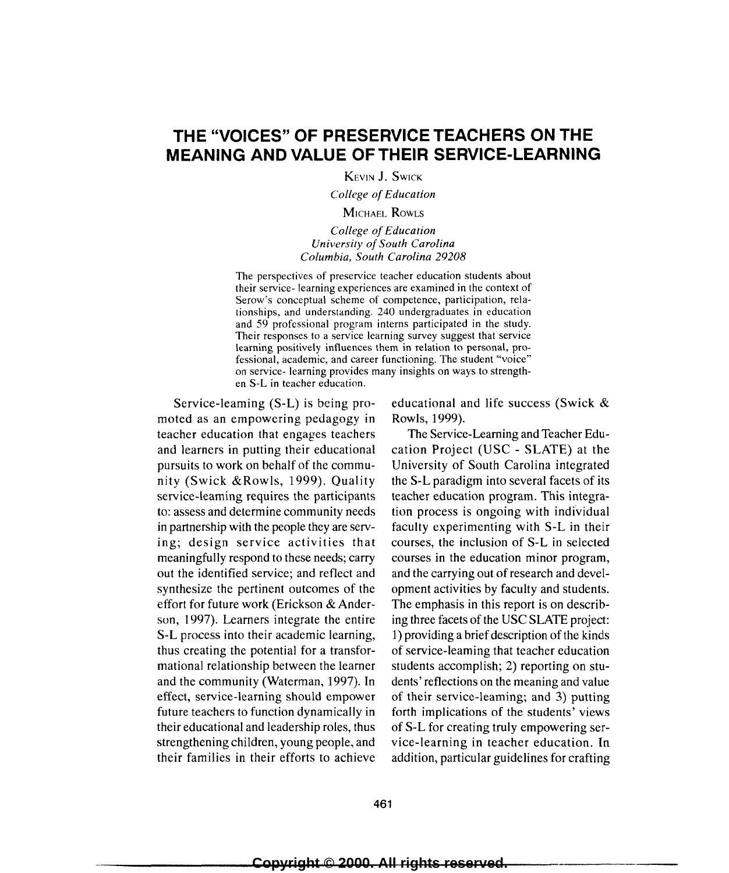# **THE "VOICES" OF PRESERVICE TEACHERS ON THE MEANING AND VALUE OF THEIR SERVICE-LEARNING**

KEVIN **J.** SwiCK

*College of Education* 

#### MicHAEL RowLs

#### *College of Education University of South Carolina Columbia, South Carolina 29208*

The perspectives of preservice teacher education students about their service- learning experiences are examined in the context of Serow's conceptual scheme of competence, participation, relationships, and understanding. 240 undergraduates in education and 59 professional program interns participated in the study. Their responses to a service learning survey suggest that service learning positively influences them in relation to personal, professional, academic, and career functioning. The student "voice" on service- learning provides many insights on ways to strengthen S-L in teacher education.

Service-leaming (S-L) is being promoted as an empowering pedagogy in teacher education that engages teachers and learners in putting their educational pursuits to work on behalf of the community (Swick &Rawls, 1999). Quality service-learning requires the participants to: assess and determine community needs in partnership with the people they are serving; design service activities that meaningfully respond to these needs; carry out the identified service; and reflect and synthesize the pertinent outcomes of the effort for future work (Erickson & Anderson, 1997). Learners integrate the entire S-L process into their academic learning, thus creating the potential for a transformational relationship between the Ieamer and the community (Waterman, 1997). In effect, service-learning should empower future teachers to function dynamically in their educational and leadership roles, thus strengthening children, young people, and their families in their efforts to achieve

educational and life success (Swick & Rowls, 1999).

The Service-Learning and Teacher Education Project (USC - SLATE) at the University of South Carolina integrated the S-L paradigm into several facets of its teacher education program. This integration process is ongoing with individual faculty experimenting with S-L in their courses, the inclusion of S-L in selected courses in the education minor program, and the carrying out of research and development activities by faculty and students. The emphasis in this report is on describing three facets of the USC SLATE project: 1) providing a brief description of the kinds of service-learning that teacher education students accomplish; 2) reporting on students' reflections on the meaning and value of their service-learning; and 3) putting forth implications of the students' views of S-L for creating truly empowering service-learning in teacher education. In addition, particular guidelines for crafting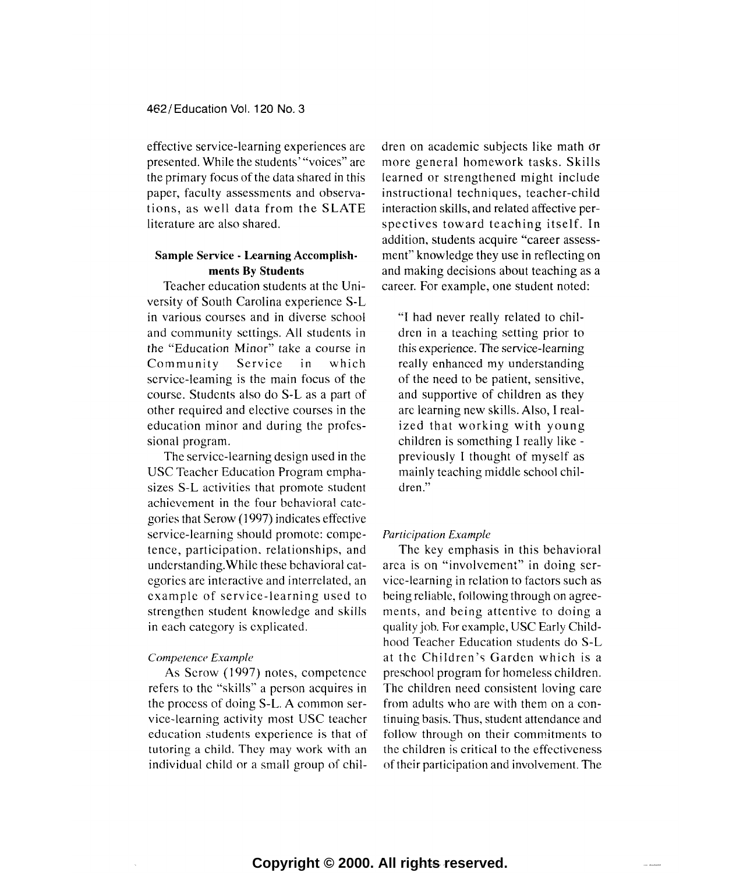effective service-learning experiences are presented. While the students' "voices" are the primary focus of the data shared in this paper, faculty assessments and observations, as well data from the SLATE literature arc also shared.

#### **Sample** Service · **Learning Accomplishments By Students**

Teacher education students at the University of South Carolina experience S-L in various courses and in diverse school and community settings. All students in the "Education Minor" take a course in Community Service in which service-learning is the main focus of the course. Students also do S-L as a part of other required and elective courses in the education minor and during the professional program.

The service-learning design used in the USC Teacher Education Program emphasizes S-L activities that promote student achievement in the four behavioral categories that Serow (1997) indicates effective service-learning should promote: competence, participation. relationships, and understanding. While these behavioral categories are interactive and interrelated, an example of service-learning used to strengthen student knowledge and skills in each category is explicated.

#### *Competence Example*

As Serow (1997) notes, competence refers to the "skills" a person acquires in the process of doing S-L. A common service-learning activity most USC teacher education students experience is that of tutoring a child. They may work with an individual child or a small group of chi!-

dren on academic subjects like math or more general homework tasks. Skills learned or strengthened might include instructional techniques, teacher-child interaction skills, and related affective perspectives toward teaching itself. In addition, students acquire "career assessment" knowledge they use in reflecting on and making decisions about teaching as a career. For example, one student noted:

"I had never really related to children in a teaching setting prior to this experience. The service-learning really enhanced my understanding of the need to be patient, sensitive, and supportive of children as they arc learning new skills. Also, I realized that working with young children is something I really likepreviously I thought of myself as mainly teaching middle school children."

#### *Participation Example*

The key emphasis in this behavioral area is on "involvement" in doing service-learning in relation to factors such as being reliable, following through on agreements, and being attentive to doing a quality job. For example, USC Early Childhood Teacher Education students do S-L at the Children's Garden which is a preschool program for homeless children. The children need consistent loving care from adults who are with them on a continuing basis. Thus, student attendance and follow through on their commitments to the children is critical to the effectiveness of their participation and involvement. The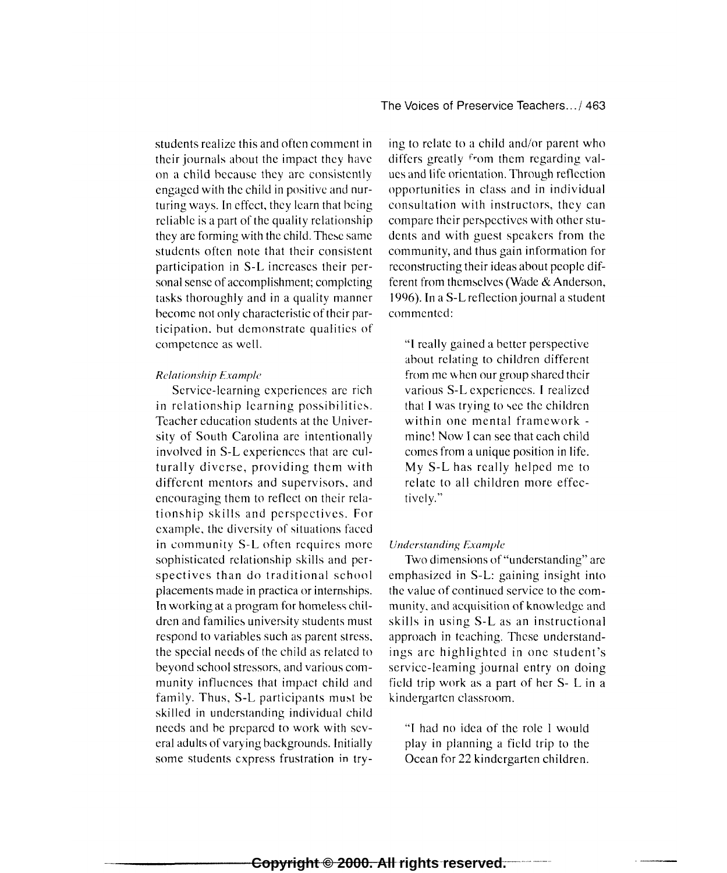students realize this and often comment in their journals about the impact they have on a child because they arc consistently engaged with the child in positive and nurturing ways. In effect, they learn that being reliable is a part of the quality relationship they arc forming with the child. These same students often note that their consistent participation in S-L increases their personal sense of accomplishment; completing tasks thoroughly and in a quality manner become not only characteristic of their participation. hut demonstrate qualities of competence as well.

#### *Relationship Example*

Service-learning experiences are rich in relationship learning possibilities. Teacher education students at the University of South Carolina arc intentionally involved in S-L experiences that arc culturally diverse, providing them with different mentors and supervisors. and encouraging them to reflect on their relationship skills and perspectives. For example. the diversity of situations faced in community S-L often requires more sophisticated relationship skills and perspectives than do traditional school placements made in practica or internships. In working at a program for homeless children and families university students must respond to variables such as parent stress. the special needs of the child as related to beyond school stressors, and various community influences that impact child and family. Thus, S-L participants must be skilled in understanding individual child needs and he prepared to work with several adults of varying backgrounds. Initially some students express frustration in try-

ing to relate to a child and/or parent who differs greatly from them regarding values and life orientation. Through reflection opportunities in class and in individual consultation with instructors, they can compare their perspectives with other students and with guest speakers from the community, and thus gain information for reconstructing their ideas about people different from themselves (Wade & Anderson, 1996). In aS-L reflection journal a student commented:

"I really gained a better perspective about relating to children different from me when our group shared their various S-L experiences. I realized that I was trying to see the children within one mental framework mine! Now I can sec that each child comes from a unique position in life. My S-L has really helped me to relate to all children more effectively."

#### *Understanding Example*

Two dimensions of "understanding" are emphasized in S-L: gaining insight into the value of continued service to the community. and acquisition of knowledge and skills in using S-L as an instructional approach in teaching. These understandings arc highlighted in one student's service-leaming journal entry on doing field trip work as a part of her S- L in a kindergarten classroom.

"I had no idea of the role I would play in planning a field trip to the Ocean for 22 kindergarten children.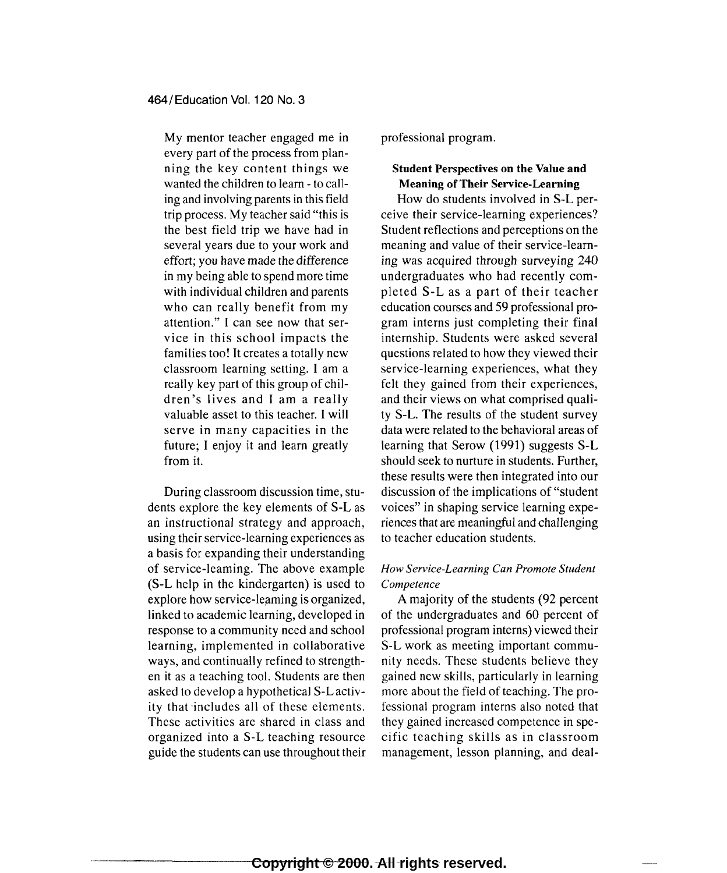My mentor teacher engaged me in every part of the process from planning the key content things we wanted the children to learn- to calling and involving parents in this field trip process. My teacher said "this is the best field trip we have had in several years due to your work and effort; you have made the difference in my being able to spend more time with individual children and parents who can really benefit from my attention." I can see now that service in this school impacts the families too! It creates a totally new classroom learning setting. I am a really key part of this group of children's lives and I am a really valuable asset to this teacher. I will serve in many capacities in the future; I enjoy it and learn greatly from it.

During classroom discussion time, students explore the key elements of S-L as an instructional strategy and approach, using their service-learning experiences as a basis for expanding their understanding of service-learning. The above example (S-L help in the kindergarten) is used to explore how service-leaming is organized, linked to academic learning, developed in response to a community need and school learning, implemented in collaborative ways, and continually refined to strengthen it as a teaching tool. Students are then asked to develop a hypothetical S-L activity that includes all of these elements. These activities are shared in class and organized into a S-L teaching resource guide the students can use throughout their professional program.

# Student Perspectives on the Value and Meaning of Their Service-Learning

How do students involved in S-L perceive their service-learning experiences? Student reflections and perceptions on the meaning and value of their service-learning was acquired through surveying 240 undergraduates who had recently completed S-L as a part of their teacher education courses and 59 professional program interns just completing their final internship. Students were asked several questions related to how they viewed their service-learning experiences, what they felt they gained from their experiences, and their views on what comprised quality S-L. The results of the student survey data were related to the behavioral areas of learning that Serow (1991) suggests S-L should seek to nurture in students. Further, these results were then integrated into our discussion of the implications of "student voices" in shaping service learning experiences that are meaningful and challenging to teacher education students.

### *How Service-Learning Can Promote Student Competence*

A majority of the students (92 percent of the undergraduates and 60 percent of professional program interns) viewed their S-L work as meeting important community needs. These students believe they gained new skills, particularly in learning more about the field of teaching. The professional program interns also noted that they gained increased competence in specific teaching skills as in classroom management, lesson planning, and deal-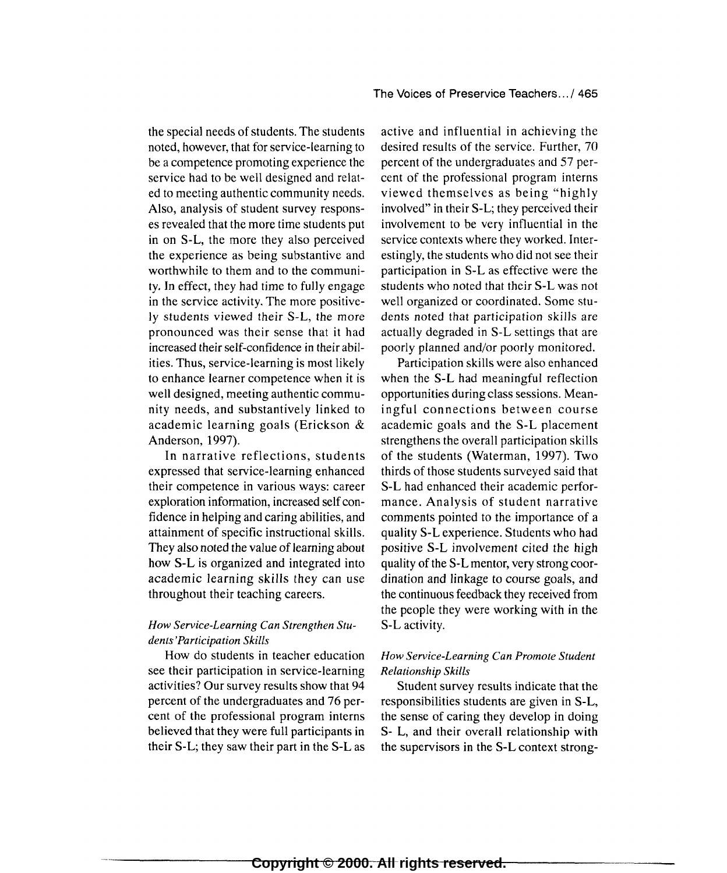the special needs of students. The students noted, however, that for service-learning to be a competence promoting experience the service had to be well designed and related to meeting authentic community needs. Also, analysis of student survey responses revealed that the more time students put in on S-L, the more they also perceived the experience as being substantive and worthwhile to them and to the community. In effect, they had time to fully engage in the service activity. The more positively students viewed their S-L, the more pronounced was their sense that it had increased their self-confidence in their abilities. Thus, service-learning is most likely to enhance learner competence when it is well designed, meeting authentic community needs, and substantively linked to academic learning goals (Erickson & Anderson, 1997).

In narrative reflections, students expressed that service-learning enhanced their competence in various ways: career exploration information, increased self confidence in helping and caring abilities, and attainment of specific instructional skills. They also noted the value of learning about how S-L is organized and integrated into academic learning skills they can use throughout their teaching careers.

# *How Service-Learning Can Strengthen Students' Participation Skills*

How do students in teacher education see their participation in service-learning activities? Our survey results show that 94 percent of the undergraduates and 76 percent of the professional program interns believed that they were full participants in their S-L; they saw their part in the S-L as

active and influential in achieving the desired results of the service. Further, 70 percent of the undergraduates and 57 percent of the professional program interns viewed themselves as being "highly involved" in their S-L; they perceived their involvement to be very influential in the service contexts where they worked. Interestingly, the students who did not see their participation in S-L as effective were the students who noted that their S-L was not well organized or coordinated. Some students noted that participation skills are actually degraded in S-L settings that are poorly planned and/or poorly monitored.

Participation skills were also enhanced when the S-L had meaningful reflection opportunities during class sessions. Meaningful connections between course academic goals and the S-L placement strengthens the overall participation skills of the students (Waterman, 1997). Two thirds of those students surveyed said that S-L had enhanced their academic performance. Analysis of student narrative comments pointed to the importance of a quality S-L experience. Students who had positive S-L involvement cited the high quality of the S-L mentor, very strong coordination and linkage to course goals, and the continuous feedback they received from the people they were working with in the S-L activity.

# *How Service-Learning Can Promote Student Relationship Skills*

Student survey results indicate that the responsibilities students are given in S-L, the sense of caring they develop in doing S- L, and their overall relationship with the supervisors in the S-L context strong-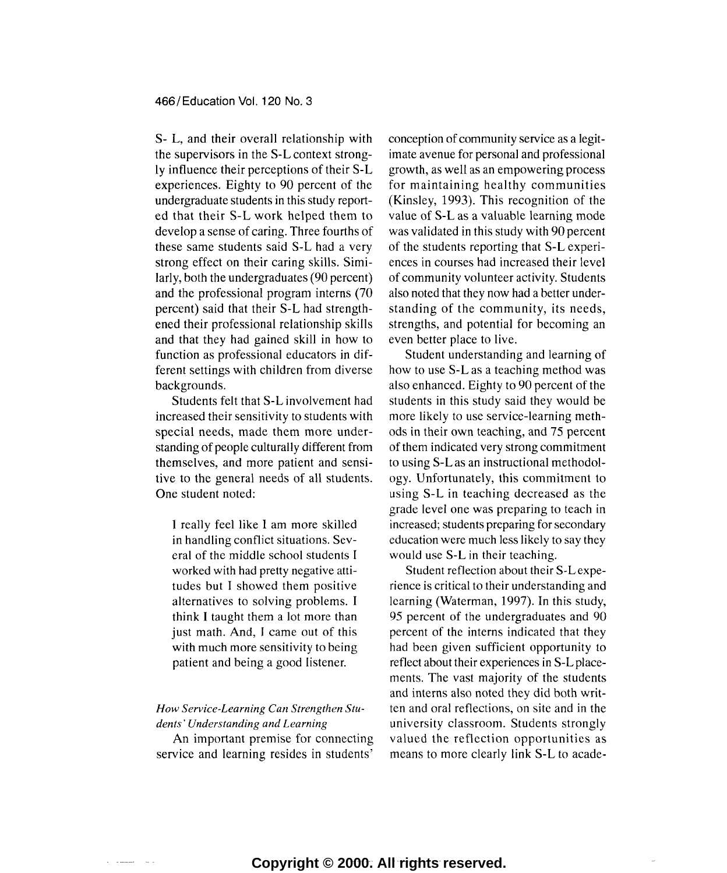S- L, and their overall relationship with the supervisors in the S-L context strongly influence their perceptions of their S-L experiences. Eighty to 90 percent of the undergraduate students in this study reported that their S-L work helped them to develop a sense of caring. Three fourths of these same students said S-L had a very strong effect on their caring skills. Similarly, both the undergraduates (90 percent) and the professional program interns (70 percent) said that their S-L had strengthened their professional relationship skills and that they had gained skill in how to function as professional educators in different settings with children from diverse backgrounds.

Students felt that S-L involvement had increased their sensitivity to students with special needs, made them more understanding of people culturally different from themselves, and more patient and sensitive to the general needs of all students. One student noted:

I really feel like I am more skilled in handling conflict situations. Several of the middle school students I worked with had pretty negative attitudes but I showed them positive alternatives to solving problems. I think I taught them a lot more than just math. And, I came out of this with much more sensitivity to being patient and being a good listener.

# *How Service-Learning Can Strengthen Students· Understanding and Learning*

An important premise for connecting service and learning resides in students'

conception of community service as a legitimate avenue for personal and professional growth, as well as an empowering process for maintaining healthy communities (Kinsley, 1993). This recognition of the value of S-L as a valuable learning mode was validated in this study with 90 percent of the students reporting that S-L experiences in courses had increased their level of community volunteer activity. Students also noted that they now had a better understanding of the community, its needs, strengths, and potential for becoming an even better place to live.

Student understanding and learning of how to use S-L as a teaching method was also enhanced. Eighty to 90 percent of the students in this study said they would be more likely to use service-learning methods in their own teaching, and 75 percent of them indicated very strong commitment to using S-L as an instructional methodology. Unfortunately, this commitment to using S-L in teaching decreased as the grade level one was preparing to teach in increased; students preparing for secondary education were much less likely to say they would use S-L in their teaching.

Student reflection about their S-Lexperience is critical to their understanding and learning (Waterman, 1997). In this study, 95 percent of the undergraduates and 90 percent of the interns indicated that they had been given sufficient opportunity to reflect about their experiences in S-L placements. The vast majority of the students and interns also noted they did both written and oral reflections, on site and in the university classroom. Students strongly valued the reflection opportunities as means to more clearly link S-L to acade-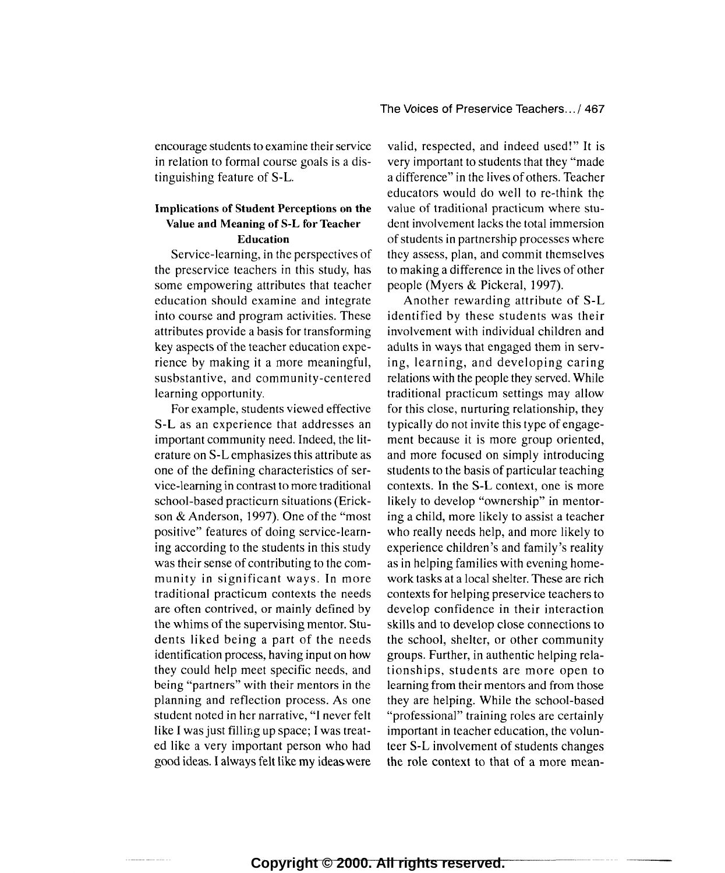encourage students to examine their service in relation to formal course goals is a distinguishing feature of S-L.

#### Implications of Student Perceptions on the Value and Meaning of S-L for Teacher Education

Service-learning, in the perspectives of the preservice teachers in this study, has some empowering attributes that teacher education should examine and integrate into course and program activities. These attributes provide a basis for transforming key aspects of the teacher education experience by making it a more meaningful, susbstantive, and community-centered learning opportunity.

For example, students viewed effective S-L as an experience that addresses an important community need. Indeed, the literature on S-L emphasizes this attribute as one of the defining characteristics of service-learning in contrast to more traditional school-based practicurn situations (Erickson & Anderson, 1997). One of the "most positive" features of doing service-learning according to the students in this study was their sense of contributing to the community in significant ways. In more traditional practicum contexts the needs are often contrived, or mainly defined by the whims of the supervising mentor. Students liked being a part of the needs identification process, having input on how they could help meet specific needs, and being "partners" with their mentors in the planning and reflection process. As one student noted in her narrative, "I never felt like I was just fillir;g up space; I was treated like a very important person who had good ideas. I always felt like my ideas. were

valid, respected, and indeed used!" It is very important to students that they "made a difference" in the lives of others. Teacher educators would do well to re-think the value of traditional practicum where student involvement lacks the total immersion of students in partnership processes where they assess, plan, and commit themselves to making a difference in the lives of other people (Myers & Pickeral, 1997).

Another rewarding attribute of S-L identified by these students was their involvement with individual children and adults in ways that engaged them in serving, learning, and developing caring relations with the people they served. While traditional practicum settings may allow for this close, nurturing relationship, they typically do not invite this type of engagement because it is more group oriented, and more focused on simply introducing students to the basis of particular teaching contexts. In the S-L context, one is more likely to develop "ownership" in mentoring a child, more likely to assist a teacher who really needs help, and more likely to experience children's and family's reality as in helping families with evening homework tasks at a local shelter. These are rich contexts for helping preservice teachers to develop confidence in their interaction skills and to develop close connections to the school, shelter, or other community groups. Further, in authentic helping relationships, students are more open to learning from their mentors and from those they are helping. While the school-based "professional" training roles are certainly important in teacher education, the volunteer S-L involvement of students changes the role context to that of a more mean